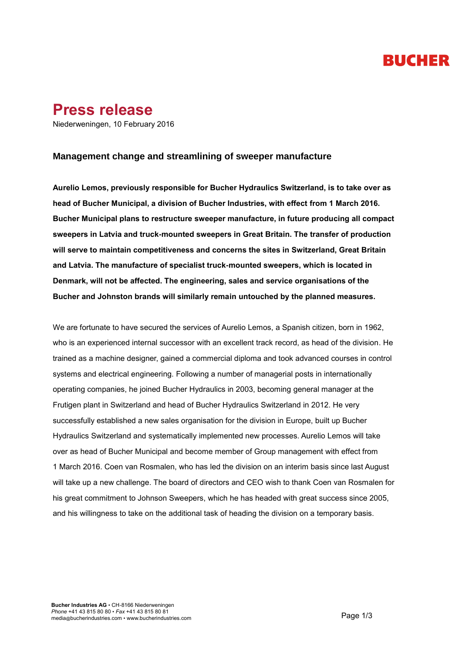# **BUCHER**

### **Press release**

Niederweningen, 10 February 2016

#### **Management change and streamlining of sweeper manufacture** DRAFT 1

**Aurelio Lemos, previously responsible for Bucher Hydraulics Switzerland, is to take over as Press release head of Bucher Municipal, a division of Bucher Industries, with effect from 1 March 2016. Bucher Municipal plans to restructure sweeper manufacture, in future producing all compact sweepers in Latvia and truck-mounted sweepers in Great Britain. The transfer of production will serve to maintain competitiveness and concerns the sites in Switzerland, Great Britain and Latvia. The manufacture of specialist truck-mounted sweepers, which is located in Denmark, will not be affected. The engineering, sales and service organisations of the Bucher and Johnston brands will similarly remain untouched by the planned measures.**

We are fortunate to have secured the services of Aurelio Lemos, a Spanish citizen, born in 1962, who is an experienced internal successor with an excellent track record, as head of the division. He trained as a machine designer, gained a commercial diploma and took advanced courses in control systems and electrical engineering. Following a number of managerial posts in internationally operating companies, he joined Bucher Hydraulics in 2003, becoming general manager at the Frutigen plant in Switzerland and head of Bucher Hydraulics Switzerland in 2012. He very successfully established a new sales organisation for the division in Europe, built up Bucher Hydraulics Switzerland and systematically implemented new processes. Aurelio Lemos will take over as head of Bucher Municipal and become member of Group management with effect from 1 March 2016. Coen van Rosmalen, who has led the division on an interim basis since last August will take up a new challenge. The board of directors and CEO wish to thank Coen van Rosmalen for his great commitment to Johnson Sweepers, which he has headed with great success since 2005, and his willingness to take on the additional task of heading the division on a temporary basis.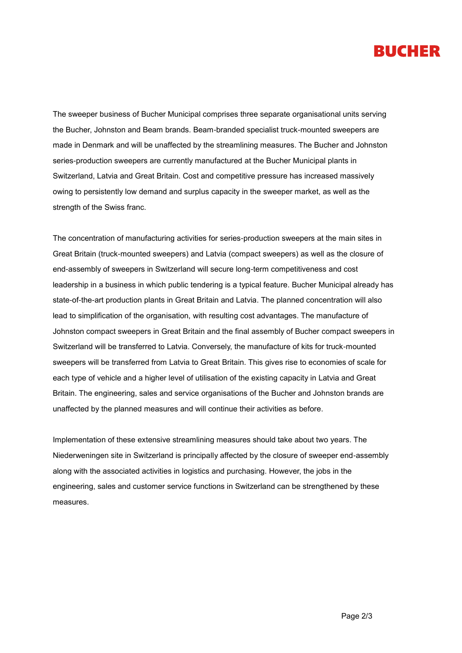### **BUCHER**

The sweeper business of Bucher Municipal comprises three separate organisational units serving the Bucher, Johnston and Beam brands. Beam-branded specialist truck-mounted sweepers are made in Denmark and will be unaffected by the streamlining measures. The Bucher and Johnston series-production sweepers are currently manufactured at the Bucher Municipal plants in Switzerland, Latvia and Great Britain. Cost and competitive pressure has increased massively owing to persistently low demand and surplus capacity in the sweeper market, as well as the strength of the Swiss franc.

The concentration of manufacturing activities for series-production sweepers at the main sites in Great Britain (truck-mounted sweepers) and Latvia (compact sweepers) as well as the closure of end-assembly of sweepers in Switzerland will secure long-term competitiveness and cost leadership in a business in which public tendering is a typical feature. Bucher Municipal already has state-of-the-art production plants in Great Britain and Latvia. The planned concentration will also lead to simplification of the organisation, with resulting cost advantages. The manufacture of Johnston compact sweepers in Great Britain and the final assembly of Bucher compact sweepers in Switzerland will be transferred to Latvia. Conversely, the manufacture of kits for truck-mounted sweepers will be transferred from Latvia to Great Britain. This gives rise to economies of scale for each type of vehicle and a higher level of utilisation of the existing capacity in Latvia and Great Britain. The engineering, sales and service organisations of the Bucher and Johnston brands are unaffected by the planned measures and will continue their activities as before.

Implementation of these extensive streamlining measures should take about two years. The Niederweningen site in Switzerland is principally affected by the closure of sweeper end-assembly along with the associated activities in logistics and purchasing. However, the jobs in the engineering, sales and customer service functions in Switzerland can be strengthened by these measures.